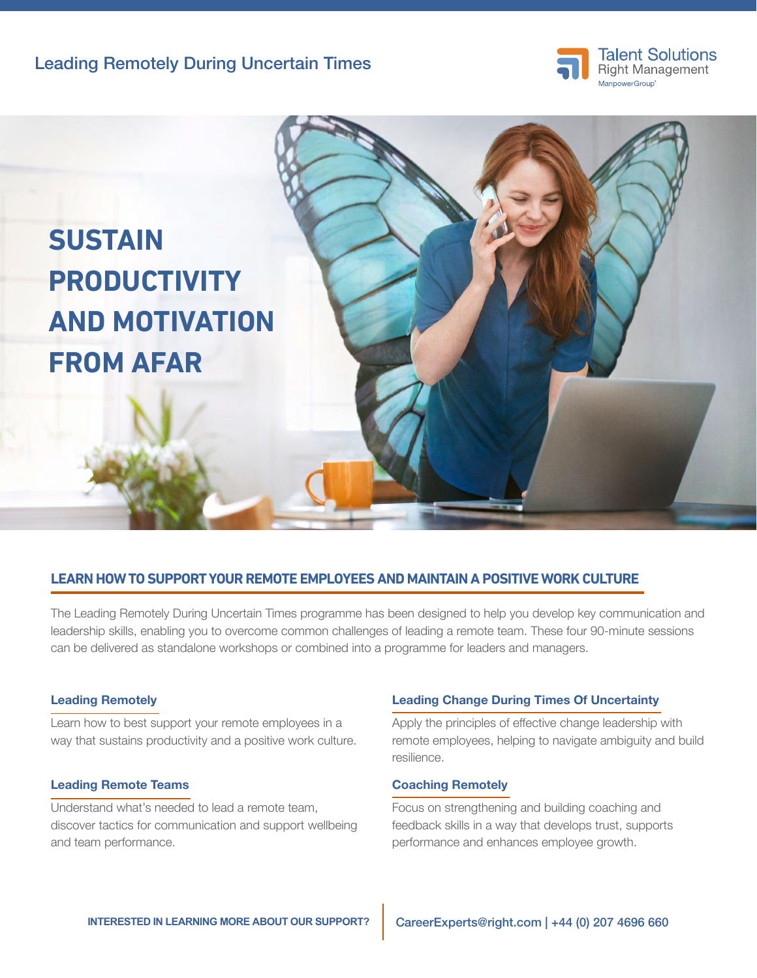



## **LEARN HOW TO SUPPORT YOUR REMOTE EMPLOYEES AND MAINTAIN A POSITIVE WORK CULTURE**

The Leading Remotely During Uncertain Times programme has been designed to help you develop key communication and leadership skills, enabling you to overcome common challenges of leading a remote team. These four 90-minute sessions can be delivered as standalone workshops or combined into a programme for leaders and managers.

#### Leading Remotely

Learn how to best support your remote employees in a way that sustains productivity and a positive work culture.

### Leading Remote Teams

Understand what's needed to lead a remote team, discover tactics for communication and support wellbeing and team performance.

#### Leading Change During Times Of Uncertainty

Apply the principles of effective change leadership with remote employees, helping to navigate ambiguity and build resilience.

## Coaching Remotely

Focus on strengthening and building coaching and feedback skills in a way that develops trust, supports performance and enhances employee growth.